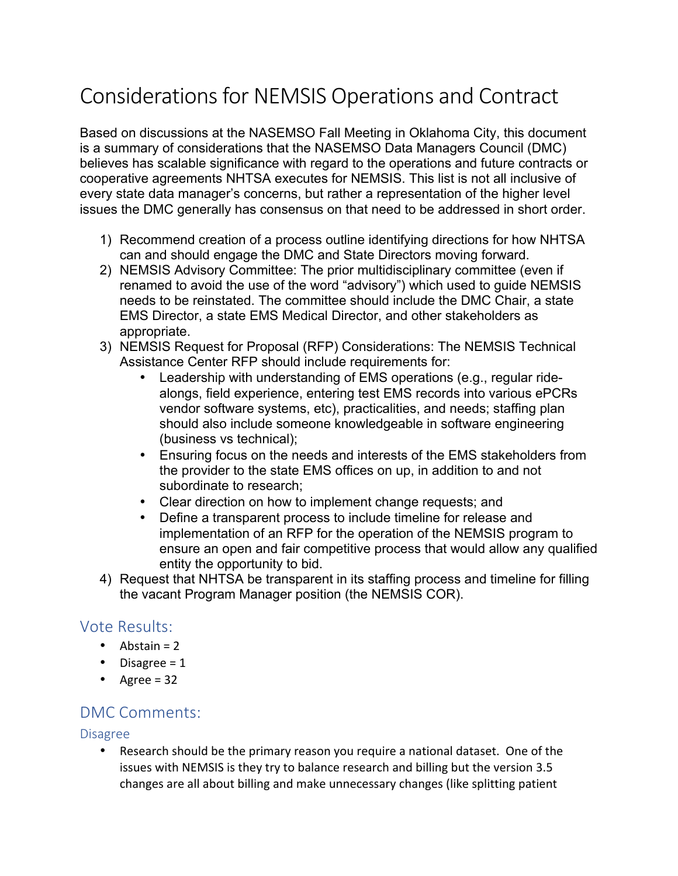# Considerations for NEMSIS Operations and Contract

Based on discussions at the NASEMSO Fall Meeting in Oklahoma City, this document is a summary of considerations that the NASEMSO Data Managers Council (DMC) believes has scalable significance with regard to the operations and future contracts or cooperative agreements NHTSA executes for NEMSIS. This list is not all inclusive of every state data manager's concerns, but rather a representation of the higher level issues the DMC generally has consensus on that need to be addressed in short order.

- 1) Recommend creation of a process outline identifying directions for how NHTSA can and should engage the DMC and State Directors moving forward.
- 2) NEMSIS Advisory Committee: The prior multidisciplinary committee (even if renamed to avoid the use of the word "advisory") which used to guide NEMSIS needs to be reinstated. The committee should include the DMC Chair, a state EMS Director, a state EMS Medical Director, and other stakeholders as appropriate.
- 3) NEMSIS Request for Proposal (RFP) Considerations: The NEMSIS Technical Assistance Center RFP should include requirements for:
	- Leadership with understanding of EMS operations (e.g., regular ridealongs, field experience, entering test EMS records into various ePCRs vendor software systems, etc), practicalities, and needs; staffing plan should also include someone knowledgeable in software engineering (business vs technical);
	- Ensuring focus on the needs and interests of the EMS stakeholders from the provider to the state EMS offices on up, in addition to and not subordinate to research;
	- Clear direction on how to implement change requests; and
	- Define a transparent process to include timeline for release and implementation of an RFP for the operation of the NEMSIS program to ensure an open and fair competitive process that would allow any qualified entity the opportunity to bid.
- 4) Request that NHTSA be transparent in its staffing process and timeline for filling the vacant Program Manager position (the NEMSIS COR).

## Vote Results:

- Abstain  $= 2$
- Disagree =  $1$
- Agree =  $32$

## DMC Comments:

### Disagree

Research should be the primary reason you require a national dataset. One of the issues with NEMSIS is they try to balance research and billing but the version 3.5 changes are all about billing and make unnecessary changes (like splitting patient